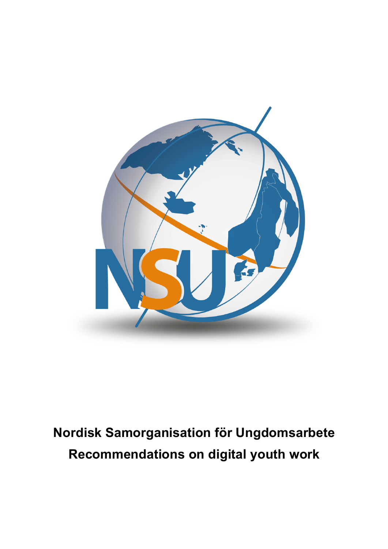

# **Nordisk Samorganisation för Ungdomsarbete Recommendations on digital youth work**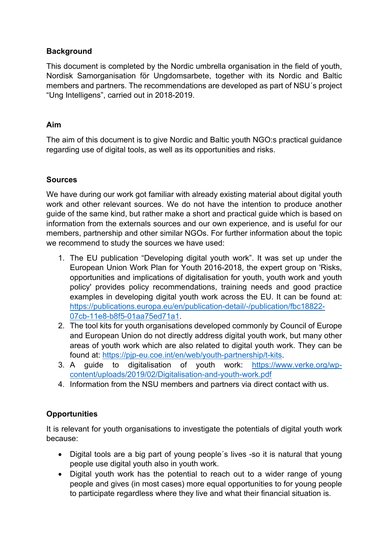## **Background**

This document is completed by the Nordic umbrella organisation in the field of youth, Nordisk Samorganisation för Ungdomsarbete, together with its Nordic and Baltic members and partners. The recommendations are developed as part of NSU´s project "Ung Intelligens", carried out in 2018-2019.

## **Aim**

The aim of this document is to give Nordic and Baltic youth NGO:s practical guidance regarding use of digital tools, as well as its opportunities and risks.

## **Sources**

We have during our work got familiar with already existing material about digital youth work and other relevant sources. We do not have the intention to produce another guide of the same kind, but rather make a short and practical guide which is based on information from the externals sources and our own experience, and is useful for our members, partnership and other similar NGOs. For further information about the topic we recommend to study the sources we have used:

- 1. The EU publication "Developing digital youth work". It was set up under the European Union Work Plan for Youth 2016-2018, the expert group on 'Risks, opportunities and implications of digitalisation for youth, youth work and youth policy' provides policy recommendations, training needs and good practice examples in developing digital youth work across the EU. It can be found at: https://publications.europa.eu/en/publication-detail/-/publication/fbc18822- 07cb-11e8-b8f5-01aa75ed71a1.
- 2. The tool kits for youth organisations developed commonly by Council of Europe and European Union do not directly address digital youth work, but many other areas of youth work which are also related to digital youth work. They can be found at: https://pjp-eu.coe.int/en/web/youth-partnership/t-kits.
- 3. A guide to digitalisation of youth work: https://www.verke.org/wpcontent/uploads/2019/02/Digitalisation-and-youth-work.pdf
- 4. Information from the NSU members and partners via direct contact with us.

## **Opportunities**

It is relevant for youth organisations to investigate the potentials of digital youth work because:

- Digital tools are a big part of young people´s lives -so it is natural that young people use digital youth also in youth work.
- Digital youth work has the potential to reach out to a wider range of young people and gives (in most cases) more equal opportunities to for young people to participate regardless where they live and what their financial situation is.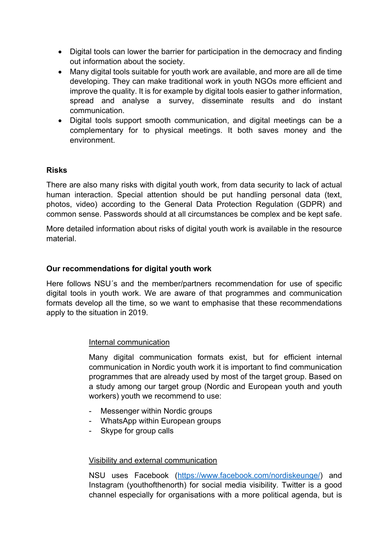- Digital tools can lower the barrier for participation in the democracy and finding out information about the society.
- Many digital tools suitable for youth work are available, and more are all de time developing. They can make traditional work in youth NGOs more efficient and improve the quality. It is for example by digital tools easier to gather information, spread and analyse a survey, disseminate results and do instant communication.
- Digital tools support smooth communication, and digital meetings can be a complementary for to physical meetings. It both saves money and the environment.

## **Risks**

There are also many risks with digital youth work, from data security to lack of actual human interaction. Special attention should be put handling personal data (text, photos, video) according to the General Data Protection Regulation (GDPR) and common sense. Passwords should at all circumstances be complex and be kept safe.

More detailed information about risks of digital youth work is available in the resource material.

## **Our recommendations for digital youth work**

Here follows NSU´s and the member/partners recommendation for use of specific digital tools in youth work. We are aware of that programmes and communication formats develop all the time, so we want to emphasise that these recommendations apply to the situation in 2019.

#### Internal communication

Many digital communication formats exist, but for efficient internal communication in Nordic youth work it is important to find communication programmes that are already used by most of the target group. Based on a study among our target group (Nordic and European youth and youth workers) youth we recommend to use:

- Messenger within Nordic groups
- WhatsApp within European groups
- Skype for group calls

#### Visibility and external communication

NSU uses Facebook (https://www.facebook.com/nordiskeunge/) and Instagram (youthofthenorth) for social media visibility. Twitter is a good channel especially for organisations with a more political agenda, but is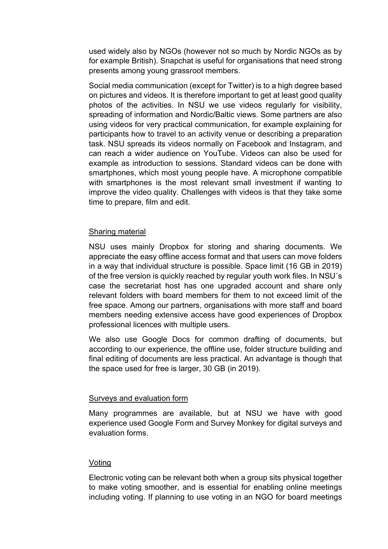used widely also by NGOs (however not so much by Nordic NGOs as by for example British). Snapchat is useful for organisations that need strong presents among young grassroot members.

Social media communication (except for Twitter) is to a high degree based on pictures and videos. It is therefore important to get at least good quality photos of the activities. In NSU we use videos regularly for visibility, spreading of information and Nordic/Baltic views. Some partners are also using videos for very practical communication, for example explaining for participants how to travel to an activity venue or describing a preparation task. NSU spreads its videos normally on Facebook and Instagram, and can reach a wider audience on YouTube. Videos can also be used for example as introduction to sessions. Standard videos can be done with smartphones, which most young people have. A microphone compatible with smartphones is the most relevant small investment if wanting to improve the video quality. Challenges with videos is that they take some time to prepare, film and edit.

#### Sharing material

NSU uses mainly Dropbox for storing and sharing documents. We appreciate the easy offline access format and that users can move folders in a way that individual structure is possible. Space limit (16 GB in 2019) of the free version is quickly reached by regular youth work files. In NSU´s case the secretariat host has one upgraded account and share only relevant folders with board members for them to not exceed limit of the free space. Among our partners, organisations with more staff and board members needing extensive access have good experiences of Dropbox professional licences with multiple users.

We also use Google Docs for common drafting of documents, but according to our experience, the offline use, folder structure building and final editing of documents are less practical. An advantage is though that the space used for free is larger, 30 GB (in 2019).

#### Surveys and evaluation form

Many programmes are available, but at NSU we have with good experience used Google Form and Survey Monkey for digital surveys and evaluation forms.

#### Voting

Electronic voting can be relevant both when a group sits physical together to make voting smoother, and is essential for enabling online meetings including voting. If planning to use voting in an NGO for board meetings